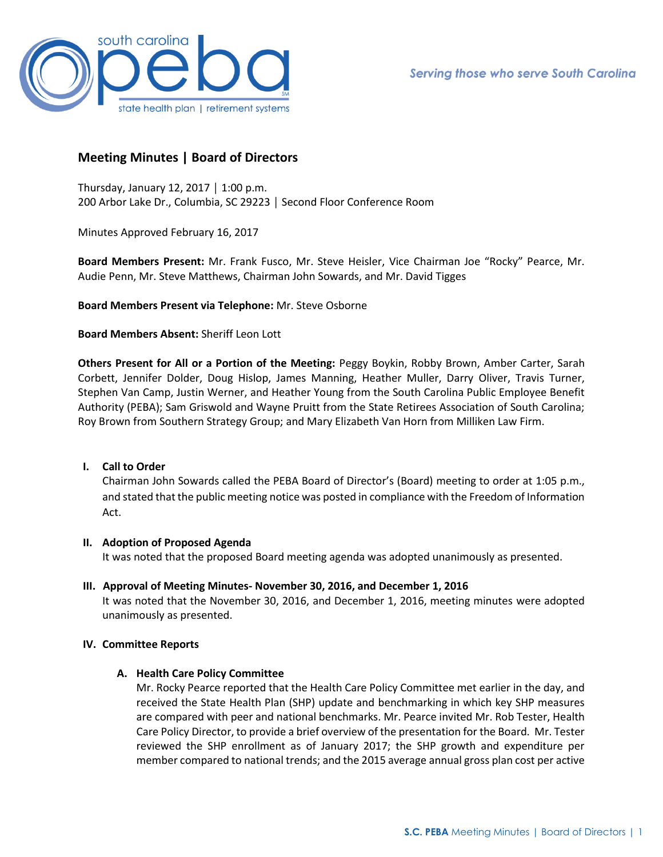

# **Meeting Minutes | Board of Directors**

Thursday, January 12, 2017 │ 1:00 p.m. 200 Arbor Lake Dr., Columbia, SC 29223 │ Second Floor Conference Room

Minutes Approved February 16, 2017

**Board Members Present:** Mr. Frank Fusco, Mr. Steve Heisler, Vice Chairman Joe "Rocky" Pearce, Mr. Audie Penn, Mr. Steve Matthews, Chairman John Sowards, and Mr. David Tigges

**Board Members Present via Telephone:** Mr. Steve Osborne

**Board Members Absent:** Sheriff Leon Lott

**Others Present for All or a Portion of the Meeting:** Peggy Boykin, Robby Brown, Amber Carter, Sarah Corbett, Jennifer Dolder, Doug Hislop, James Manning, Heather Muller, Darry Oliver, Travis Turner, Stephen Van Camp, Justin Werner, and Heather Young from the South Carolina Public Employee Benefit Authority (PEBA); Sam Griswold and Wayne Pruitt from the State Retirees Association of South Carolina; Roy Brown from Southern Strategy Group; and Mary Elizabeth Van Horn from Milliken Law Firm.

## **I. Call to Order**

Chairman John Sowards called the PEBA Board of Director's (Board) meeting to order at 1:05 p.m., and stated that the public meeting notice was posted in compliance with the Freedom of Information Act.

#### **II. Adoption of Proposed Agenda**

It was noted that the proposed Board meeting agenda was adopted unanimously as presented.

**III. Approval of Meeting Minutes- November 30, 2016, and December 1, 2016** It was noted that the November 30, 2016, and December 1, 2016, meeting minutes were adopted unanimously as presented.

#### **IV. Committee Reports**

#### **A. Health Care Policy Committee**

Mr. Rocky Pearce reported that the Health Care Policy Committee met earlier in the day, and received the State Health Plan (SHP) update and benchmarking in which key SHP measures are compared with peer and national benchmarks. Mr. Pearce invited Mr. Rob Tester, Health Care Policy Director, to provide a brief overview of the presentation for the Board. Mr. Tester reviewed the SHP enrollment as of January 2017; the SHP growth and expenditure per member compared to national trends; and the 2015 average annual gross plan cost per active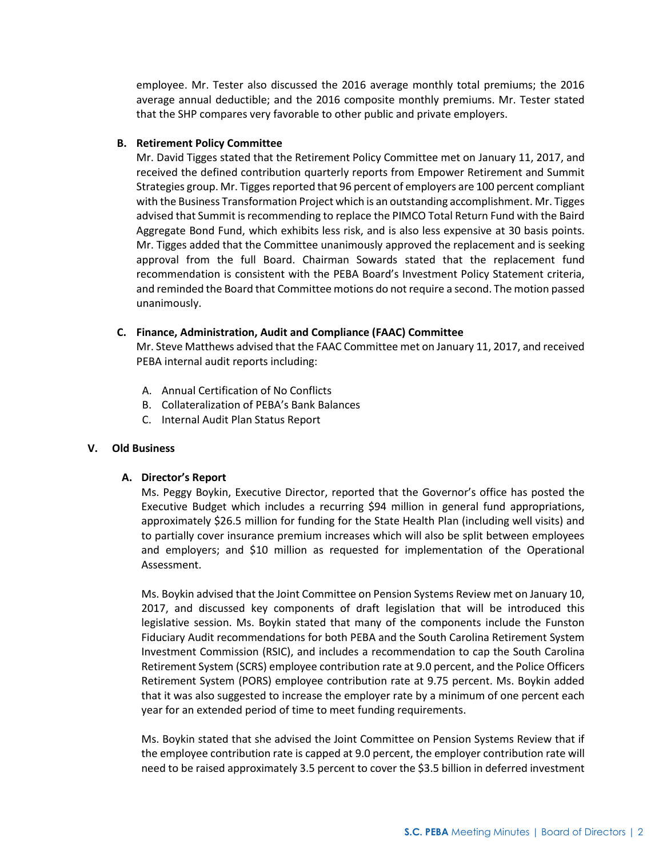employee. Mr. Tester also discussed the 2016 average monthly total premiums; the 2016 average annual deductible; and the 2016 composite monthly premiums. Mr. Tester stated that the SHP compares very favorable to other public and private employers.

## **B. Retirement Policy Committee**

Mr. David Tigges stated that the Retirement Policy Committee met on January 11, 2017, and received the defined contribution quarterly reports from Empower Retirement and Summit Strategies group. Mr. Tigges reported that 96 percent of employers are 100 percent compliant with the Business Transformation Project which is an outstanding accomplishment. Mr. Tigges advised that Summit is recommending to replace the PIMCO Total Return Fund with the Baird Aggregate Bond Fund, which exhibits less risk, and is also less expensive at 30 basis points. Mr. Tigges added that the Committee unanimously approved the replacement and is seeking approval from the full Board. Chairman Sowards stated that the replacement fund recommendation is consistent with the PEBA Board's Investment Policy Statement criteria, and reminded the Board that Committee motions do not require a second. The motion passed unanimously.

## **C. Finance, Administration, Audit and Compliance (FAAC) Committee**

Mr. Steve Matthews advised that the FAAC Committee met on January 11, 2017, and received PEBA internal audit reports including:

- A. Annual Certification of No Conflicts
- B. Collateralization of PEBA's Bank Balances
- C. Internal Audit Plan Status Report

#### **V. Old Business**

## **A. Director's Report**

Ms. Peggy Boykin, Executive Director, reported that the Governor's office has posted the Executive Budget which includes a recurring \$94 million in general fund appropriations, approximately \$26.5 million for funding for the State Health Plan (including well visits) and to partially cover insurance premium increases which will also be split between employees and employers; and \$10 million as requested for implementation of the Operational Assessment.

Ms. Boykin advised that the Joint Committee on Pension Systems Review met on January 10, 2017, and discussed key components of draft legislation that will be introduced this legislative session. Ms. Boykin stated that many of the components include the Funston Fiduciary Audit recommendations for both PEBA and the South Carolina Retirement System Investment Commission (RSIC), and includes a recommendation to cap the South Carolina Retirement System (SCRS) employee contribution rate at 9.0 percent, and the Police Officers Retirement System (PORS) employee contribution rate at 9.75 percent. Ms. Boykin added that it was also suggested to increase the employer rate by a minimum of one percent each year for an extended period of time to meet funding requirements.

Ms. Boykin stated that she advised the Joint Committee on Pension Systems Review that if the employee contribution rate is capped at 9.0 percent, the employer contribution rate will need to be raised approximately 3.5 percent to cover the \$3.5 billion in deferred investment